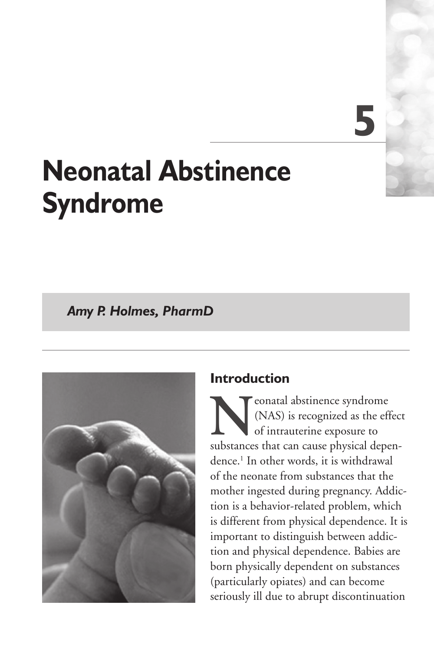# **5**

## **Neonatal Abstinence Syndrome**

*Amy P. Holmes, PharmD*



## **Introduction**

**N**eonatal abstinence syndrome<br>(NAS) is recognized as the eff<br>of intrauterine exposure to<br>substances that can cause physical depe (NAS) is recognized as the effect of intrauterine exposure to substances that can cause physical dependence.1 In other words, it is withdrawal of the neonate from substances that the mother ingested during pregnancy. Addiction is a behavior-related problem, which is different from physical dependence. It is important to distinguish between addiction and physical dependence. Babies are born physically dependent on substances (particularly opiates) and can become seriously ill due to abrupt discontinuation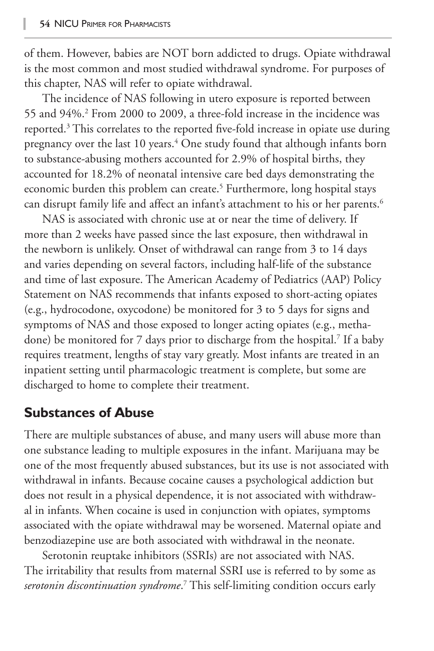of them. However, babies are NOT born addicted to drugs. Opiate withdrawal is the most common and most studied withdrawal syndrome. For purposes of this chapter, NAS will refer to opiate withdrawal.

The incidence of NAS following in utero exposure is reported between 55 and 94%.2 From 2000 to 2009, a three-fold increase in the incidence was reported.<sup>3</sup> This correlates to the reported five-fold increase in opiate use during pregnancy over the last 10 years.4 One study found that although infants born to substance-abusing mothers accounted for 2.9% of hospital births, they accounted for 18.2% of neonatal intensive care bed days demonstrating the economic burden this problem can create.<sup>5</sup> Furthermore, long hospital stays can disrupt family life and affect an infant's attachment to his or her parents.<sup>6</sup>

NAS is associated with chronic use at or near the time of delivery. If more than 2 weeks have passed since the last exposure, then withdrawal in the newborn is unlikely. Onset of withdrawal can range from 3 to 14 days and varies depending on several factors, including half-life of the substance and time of last exposure. The American Academy of Pediatrics (AAP) Policy Statement on NAS recommends that infants exposed to short-acting opiates (e.g., hydrocodone, oxycodone) be monitored for 3 to 5 days for signs and symptoms of NAS and those exposed to longer acting opiates (e.g., methadone) be monitored for 7 days prior to discharge from the hospital.7 If a baby requires treatment, lengths of stay vary greatly. Most infants are treated in an inpatient setting until pharmacologic treatment is complete, but some are discharged to home to complete their treatment.

## **Substances of Abuse**

There are multiple substances of abuse, and many users will abuse more than one substance leading to multiple exposures in the infant. Marijuana may be one of the most frequently abused substances, but its use is not associated with withdrawal in infants. Because cocaine causes a psychological addiction but does not result in a physical dependence, it is not associated with withdrawal in infants. When cocaine is used in conjunction with opiates, symptoms associated with the opiate withdrawal may be worsened. Maternal opiate and benzodiazepine use are both associated with withdrawal in the neonate.

Serotonin reuptake inhibitors (SSRIs) are not associated with NAS. The irritability that results from maternal SSRI use is referred to by some as *serotonin discontinuation syndrome*. 7 This self-limiting condition occurs early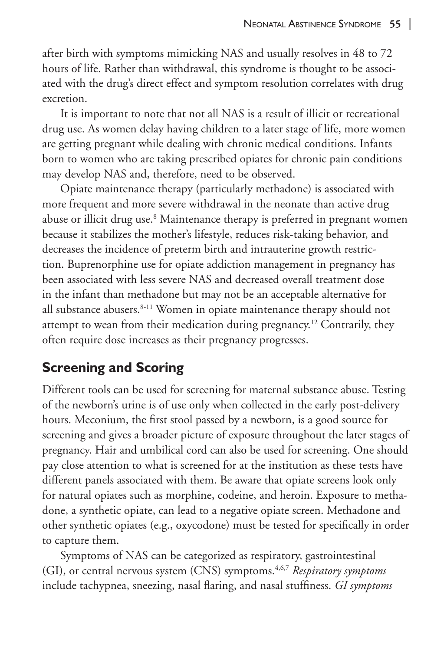after birth with symptoms mimicking NAS and usually resolves in 48 to 72 hours of life. Rather than withdrawal, this syndrome is thought to be associated with the drug's direct effect and symptom resolution correlates with drug excretion.

It is important to note that not all NAS is a result of illicit or recreational drug use. As women delay having children to a later stage of life, more women are getting pregnant while dealing with chronic medical conditions. Infants born to women who are taking prescribed opiates for chronic pain conditions may develop NAS and, therefore, need to be observed.

Opiate maintenance therapy (particularly methadone) is associated with more frequent and more severe withdrawal in the neonate than active drug abuse or illicit drug use.<sup>8</sup> Maintenance therapy is preferred in pregnant women because it stabilizes the mother's lifestyle, reduces risk-taking behavior, and decreases the incidence of preterm birth and intrauterine growth restriction. Buprenorphine use for opiate addiction management in pregnancy has been associated with less severe NAS and decreased overall treatment dose in the infant than methadone but may not be an acceptable alternative for all substance abusers.<sup>8-11</sup> Women in opiate maintenance therapy should not attempt to wean from their medication during pregnancy.12 Contrarily, they often require dose increases as their pregnancy progresses.

## **Screening and Scoring**

Different tools can be used for screening for maternal substance abuse. Testing of the newborn's urine is of use only when collected in the early post-delivery hours. Meconium, the first stool passed by a newborn, is a good source for screening and gives a broader picture of exposure throughout the later stages of pregnancy. Hair and umbilical cord can also be used for screening. One should pay close attention to what is screened for at the institution as these tests have different panels associated with them. Be aware that opiate screens look only for natural opiates such as morphine, codeine, and heroin. Exposure to methadone, a synthetic opiate, can lead to a negative opiate screen. Methadone and other synthetic opiates (e.g., oxycodone) must be tested for specifically in order to capture them.

Symptoms of NAS can be categorized as respiratory, gastrointestinal (GI), or central nervous system (CNS) symptoms.4,6,7 *Respiratory symptoms* include tachypnea, sneezing, nasal flaring, and nasal stuffiness. *GI symptoms*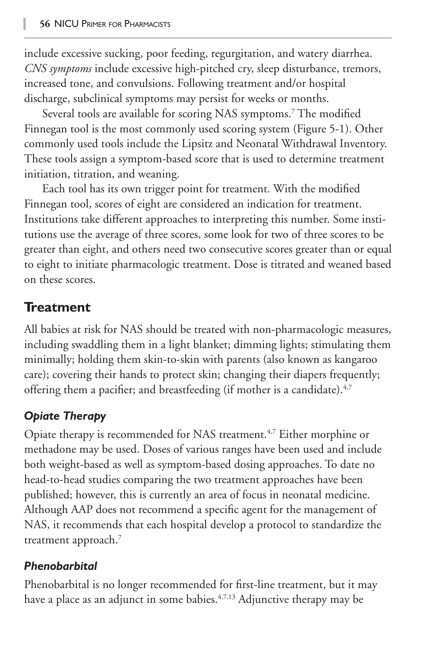include excessive sucking, poor feeding, regurgitation, and watery diarrhea. *CNS symptoms* include excessive high-pitched cry, sleep disturbance, tremors, increased tone, and convulsions. Following treatment and/or hospital discharge, subclinical symptoms may persist for weeks or months.

Several tools are available for scoring NAS symptoms.7 The modified Finnegan tool is the most commonly used scoring system (Figure 5-1). Other commonly used tools include the Lipsitz and Neonatal Withdrawal Inventory. These tools assign a symptom-based score that is used to determine treatment initiation, titration, and weaning.

Each tool has its own trigger point for treatment. With the modified Finnegan tool, scores of eight are considered an indication for treatment. Institutions take different approaches to interpreting this number. Some institutions use the average of three scores, some look for two of three scores to be greater than eight, and others need two consecutive scores greater than or equal to eight to initiate pharmacologic treatment. Dose is titrated and weaned based on these scores.

## **Treatment**

All babies at risk for NAS should be treated with non-pharmacologic measures, including swaddling them in a light blanket; dimming lights; stimulating them minimally; holding them skin-to-skin with parents (also known as kangaroo care); covering their hands to protect skin; changing their diapers frequently; offering them a pacifier; and breastfeeding (if mother is a candidate).<sup>4,7</sup>

## *Opiate Therapy*

Opiate therapy is recommended for NAS treatment.<sup>4,7</sup> Either morphine or methadone may be used. Doses of various ranges have been used and include both weight-based as well as symptom-based dosing approaches. To date no head-to-head studies comparing the two treatment approaches have been published; however, this is currently an area of focus in neonatal medicine. Although AAP does not recommend a specific agent for the management of NAS, it recommends that each hospital develop a protocol to standardize the treatment approach.<sup>7</sup>

#### *Phenobarbital*

Phenobarbital is no longer recommended for first-line treatment, but it may have a place as an adjunct in some babies.<sup>4,7,13</sup> Adjunctive therapy may be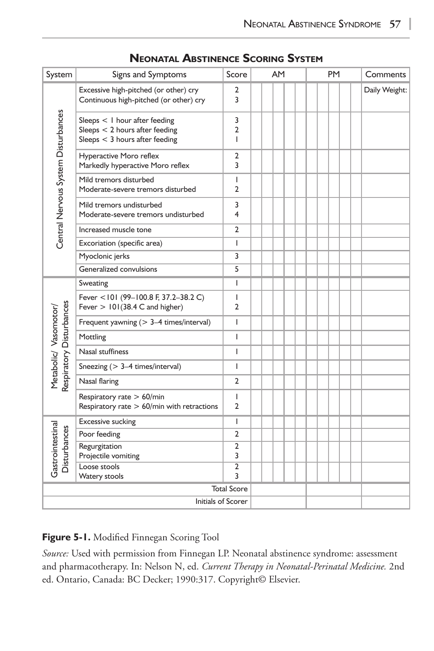| System                                            | Signs and Symptoms                                                                                    | Score                    | AM | <b>PM</b> | Comments      |
|---------------------------------------------------|-------------------------------------------------------------------------------------------------------|--------------------------|----|-----------|---------------|
| Central Nervous System Disturbances               | Excessive high-pitched (or other) cry<br>Continuous high-pitched (or other) cry                       | 2<br>3                   |    |           | Daily Weight: |
|                                                   | Sleeps < I hour after feeding<br>Sleeps $<$ 2 hours after feeding<br>Sleeps $<$ 3 hours after feeding | 3<br>$\overline{2}$<br>T |    |           |               |
|                                                   | Hyperactive Moro reflex<br>Markedly hyperactive Moro reflex                                           | 2<br>3                   |    |           |               |
|                                                   | Mild tremors disturbed<br>Moderate-severe tremors disturbed                                           | T<br>$\overline{2}$      |    |           |               |
|                                                   | Mild tremors undisturbed<br>Moderate-severe tremors undisturbed                                       | 3<br>4                   |    |           |               |
|                                                   | Increased muscle tone                                                                                 | 2                        |    |           |               |
|                                                   | Excoriation (specific area)                                                                           | T                        |    |           |               |
|                                                   | Myoclonic jerks                                                                                       | 3                        |    |           |               |
|                                                   | Generalized convulsions                                                                               | 5                        |    |           |               |
| Respiratory Disturbances<br>Metabolic/ Vasomotor/ | Sweating                                                                                              | T                        |    |           |               |
|                                                   | Fever <101 (99-100.8 F, 37.2-38.2 C)<br>Fever $> 101(38.4 \text{ C}$ and higher)                      | T<br>$\overline{2}$      |    |           |               |
|                                                   | Frequent yawning (> 3-4 times/interval)                                                               | T                        |    |           |               |
|                                                   | Mottling                                                                                              | T                        |    |           |               |
|                                                   | Nasal stuffiness                                                                                      | T                        |    |           |               |
|                                                   | Sneezing (> 3-4 times/interval)                                                                       | T                        |    |           |               |
|                                                   | Nasal flaring                                                                                         | $\overline{2}$           |    |           |               |
|                                                   | Respiratory rate > 60/min<br>Respiratory rate $> 60$ /min with retractions                            | T<br>$\mathfrak{p}$      |    |           |               |
| Gastrointestinal<br>Disturbances                  | Excessive sucking                                                                                     | T                        |    |           |               |
|                                                   | Poor feeding                                                                                          | 2                        |    |           |               |
|                                                   | Regurgitation<br>Projectile vomiting                                                                  | $\overline{2}$<br>3      |    |           |               |
|                                                   | Loose stools<br>Watery stools                                                                         | $\overline{2}$<br>3      |    |           |               |
| <b>Total Score</b>                                |                                                                                                       |                          |    |           |               |
| Initials of Scorer                                |                                                                                                       |                          |    |           |               |

#### **Neonatal Abstinence Scoring System**

#### **Figure 5-1.** Modified Finnegan Scoring Tool

*Source:* Used with permission from Finnegan LP. Neonatal abstinence syndrome: assessment and pharmacotherapy. In: Nelson N, ed. *Current Therapy in Neonatal-Perinatal Medicine.* 2nd ed. Ontario, Canada: BC Decker; 1990:317. Copyright© Elsevier.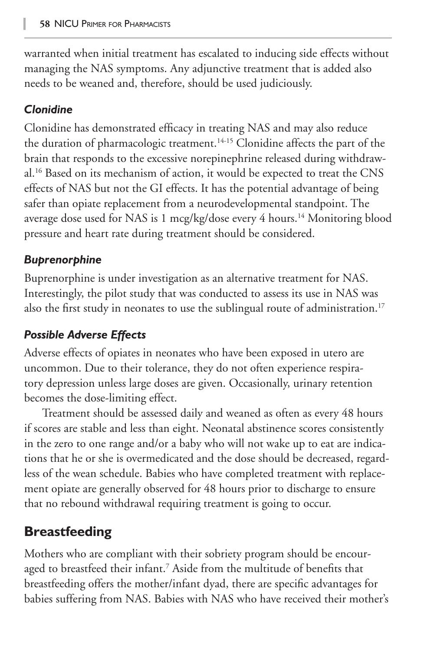warranted when initial treatment has escalated to inducing side effects without managing the NAS symptoms. Any adjunctive treatment that is added also needs to be weaned and, therefore, should be used judiciously.

## *Clonidine*

Clonidine has demonstrated efficacy in treating NAS and may also reduce the duration of pharmacologic treatment.<sup>14-15</sup> Clonidine affects the part of the brain that responds to the excessive norepinephrine released during withdrawal.16 Based on its mechanism of action, it would be expected to treat the CNS effects of NAS but not the GI effects. It has the potential advantage of being safer than opiate replacement from a neurodevelopmental standpoint. The average dose used for NAS is 1 mcg/kg/dose every 4 hours.<sup>14</sup> Monitoring blood pressure and heart rate during treatment should be considered.

## *Buprenorphine*

Buprenorphine is under investigation as an alternative treatment for NAS. Interestingly, the pilot study that was conducted to assess its use in NAS was also the first study in neonates to use the sublingual route of administration.<sup>17</sup>

## *Possible Adverse Effects*

Adverse effects of opiates in neonates who have been exposed in utero are uncommon. Due to their tolerance, they do not often experience respiratory depression unless large doses are given. Occasionally, urinary retention becomes the dose-limiting effect.

Treatment should be assessed daily and weaned as often as every 48 hours if scores are stable and less than eight. Neonatal abstinence scores consistently in the zero to one range and/or a baby who will not wake up to eat are indications that he or she is overmedicated and the dose should be decreased, regardless of the wean schedule. Babies who have completed treatment with replacement opiate are generally observed for 48 hours prior to discharge to ensure that no rebound withdrawal requiring treatment is going to occur.

## **Breastfeeding**

Mothers who are compliant with their sobriety program should be encouraged to breastfeed their infant.7 Aside from the multitude of benefits that breastfeeding offers the mother/infant dyad, there are specific advantages for babies suffering from NAS. Babies with NAS who have received their mother's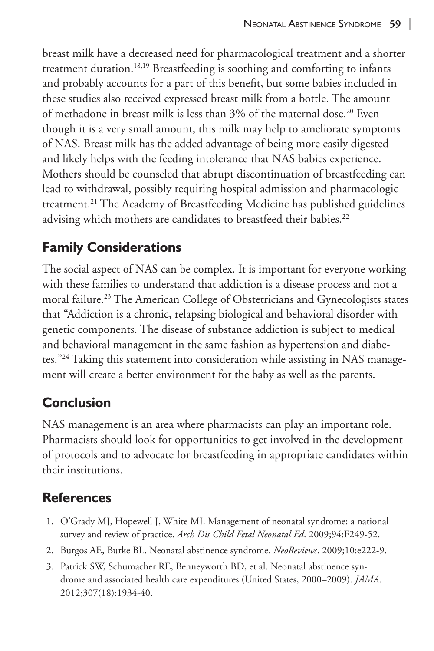breast milk have a decreased need for pharmacological treatment and a shorter treatment duration.18,19 Breastfeeding is soothing and comforting to infants and probably accounts for a part of this benefit, but some babies included in these studies also received expressed breast milk from a bottle. The amount of methadone in breast milk is less than 3% of the maternal dose.<sup>20</sup> Even though it is a very small amount, this milk may help to ameliorate symptoms of NAS. Breast milk has the added advantage of being more easily digested and likely helps with the feeding intolerance that NAS babies experience. Mothers should be counseled that abrupt discontinuation of breastfeeding can lead to withdrawal, possibly requiring hospital admission and pharmacologic treatment.21 The Academy of Breastfeeding Medicine has published guidelines advising which mothers are candidates to breastfeed their babies.<sup>22</sup>

## **Family Considerations**

The social aspect of NAS can be complex. It is important for everyone working with these families to understand that addiction is a disease process and not a moral failure.23 The American College of Obstetricians and Gynecologists states that "Addiction is a chronic, relapsing biological and behavioral disorder with genetic components. The disease of substance addiction is subject to medical and behavioral management in the same fashion as hypertension and diabetes."24 Taking this statement into consideration while assisting in NAS management will create a better environment for the baby as well as the parents.

## **Conclusion**

NAS management is an area where pharmacists can play an important role. Pharmacists should look for opportunities to get involved in the development of protocols and to advocate for breastfeeding in appropriate candidates within their institutions.

## **References**

- 1. O'Grady MJ, Hopewell J, White MJ. Management of neonatal syndrome: a national survey and review of practice. *Arch Dis Child Fetal Neonatal Ed*. 2009;94:F249-52.
- 2. Burgos AE, Burke BL. Neonatal abstinence syndrome. *NeoReviews*. 2009;10:e222-9.
- 3. Patrick SW, Schumacher RE, Benneyworth BD, et al. Neonatal abstinence syndrome and associated health care expenditures (United States, 2000–2009). *JAMA*. 2012;307(18):1934-40.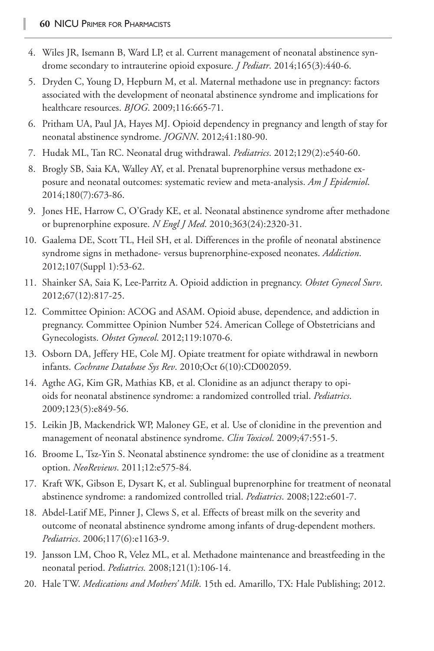- 4. Wiles JR, Isemann B, Ward LP, et al. Current management of neonatal abstinence syndrome secondary to intrauterine opioid exposure. *J Pediatr*. 2014;165(3):440-6.
- 5. Dryden C, Young D, Hepburn M, et al. Maternal methadone use in pregnancy: factors associated with the development of neonatal abstinence syndrome and implications for healthcare resources. *BJOG*. 2009;116:665-71.
- 6. Pritham UA, Paul JA, Hayes MJ. Opioid dependency in pregnancy and length of stay for neonatal abstinence syndrome. *JOGNN*. 2012;41:180-90.
- 7. Hudak ML, Tan RC. Neonatal drug withdrawal. *Pediatrics*. 2012;129(2):e540-60.
- 8. Brogly SB, Saia KA, Walley AY, et al. Prenatal buprenorphine versus methadone exposure and neonatal outcomes: systematic review and meta-analysis. *Am J Epidemiol*. 2014;180(7):673-86.
- 9. Jones HE, Harrow C, O'Grady KE, et al. Neonatal abstinence syndrome after methadone or buprenorphine exposure. *N Engl J Med*. 2010;363(24):2320-31.
- 10. Gaalema DE, Scott TL, Heil SH, et al. Differences in the profile of neonatal abstinence syndrome signs in methadone- versus buprenorphine-exposed neonates. *Addiction*. 2012;107(Suppl 1):53-62.
- 11. Shainker SA, Saia K, Lee-Parritz A. Opioid addiction in pregnancy. *Obstet Gynecol Surv*. 2012;67(12):817-25.
- 12. Committee Opinion: ACOG and ASAM. Opioid abuse, dependence, and addiction in pregnancy. Committee Opinion Number 524. American College of Obstetricians and Gynecologists. *Obstet Gynecol*. 2012;119:1070-6.
- 13. Osborn DA, Jeffery HE, Cole MJ. Opiate treatment for opiate withdrawal in newborn infants. *Cochrane Database Sys Rev*. 2010;Oct 6(10):CD002059.
- 14. Agthe AG, Kim GR, Mathias KB, et al. Clonidine as an adjunct therapy to opioids for neonatal abstinence syndrome: a randomized controlled trial. *Pediatrics*. 2009;123(5):e849-56.
- 15. Leikin JB, Mackendrick WP, Maloney GE, et al. Use of clonidine in the prevention and management of neonatal abstinence syndrome. *Clin Toxicol*. 2009;47:551-5.
- 16. Broome L, Tsz-Yin S. Neonatal abstinence syndrome: the use of clonidine as a treatment option. *NeoReviews*. 2011;12:e575-84.
- 17. Kraft WK, Gibson E, Dysart K, et al. Sublingual buprenorphine for treatment of neonatal abstinence syndrome: a randomized controlled trial. *Pediatrics*. 2008;122:e601-7.
- 18. Abdel-Latif ME, Pinner J, Clews S, et al. Effects of breast milk on the severity and outcome of neonatal abstinence syndrome among infants of drug-dependent mothers. *Pediatrics*. 2006;117(6):e1163-9.
- 19. Jansson LM, Choo R, Velez ML, et al. Methadone maintenance and breastfeeding in the neonatal period. *Pediatrics.* 2008;121(1):106-14.
- 20. Hale TW. *Medications and Mothers' Milk*. 15th ed. Amarillo, TX: Hale Publishing; 2012.